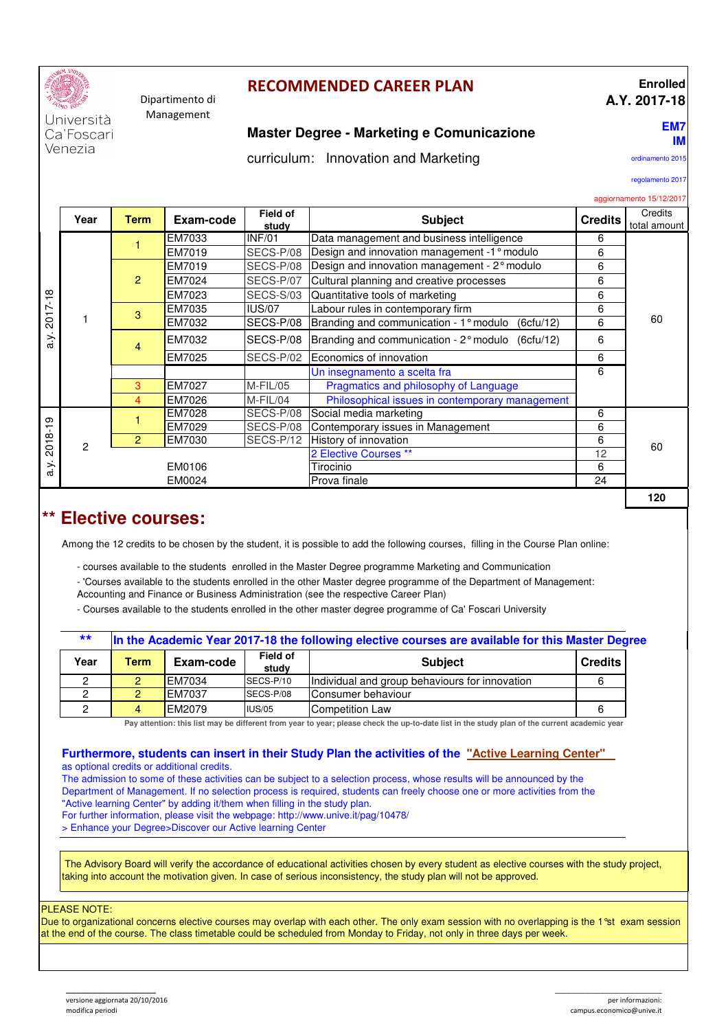

#### Dipartimento di Management

## **RECOMMENDED CAREER PLAN**

### **Enrolled A.Y. 2017-18**

Università Ca'Foscari Venezia

## **Master Degree - Marketing e Comunicazione**

curriculum: Innovation and Marketing

ordinamento 2015

**EM7 IM**

regolamento 2017

#### aggiornamento 15/12/2017

|                                               | Year          | <b>Field of</b><br><b>Subject</b><br>Exam-code<br><b>Credits</b><br><b>Term</b><br>study |        |               |                                                     |    |     |  |  |
|-----------------------------------------------|---------------|------------------------------------------------------------------------------------------|--------|---------------|-----------------------------------------------------|----|-----|--|--|
|                                               |               |                                                                                          | EM7033 | INF/01        | Data management and business intelligence           | 6  |     |  |  |
| $\infty$<br>$\blacksquare$<br>Ņ<br>201<br>a.y |               |                                                                                          | EM7019 | SECS-P/08     | Design and innovation management -1° modulo         | 6  |     |  |  |
|                                               |               | $\overline{2}$                                                                           | EM7019 | SECS-P/08     | Design and innovation management - 2° modulo        | 6  |     |  |  |
|                                               |               |                                                                                          | EM7024 | SECS-P/07     | Cultural planning and creative processes            | 6  |     |  |  |
|                                               |               |                                                                                          | EM7023 | SECS-S/03     | Quantitative tools of marketing                     | 6  |     |  |  |
|                                               |               | 3                                                                                        | EM7035 | <b>IUS/07</b> | Labour rules in contemporary firm                   | 6  |     |  |  |
|                                               |               |                                                                                          | EM7032 | SECS-P/08     | Branding and communication - 1° modulo<br>(6ctu/12) | 6  | 60  |  |  |
|                                               |               | 4                                                                                        | EM7032 | SECS-P/08     | Branding and communication - 2° modulo (6cfu/12)    | 6  |     |  |  |
|                                               |               |                                                                                          | EM7025 | SECS-P/02     | Economics of innovation                             | 6  |     |  |  |
|                                               |               |                                                                                          |        |               | Un insegnamento a scelta fra                        | 6  |     |  |  |
|                                               |               | Pragmatics and philosophy of Language<br>EM7027<br>M-FIL/05<br>3                         |        |               |                                                     |    |     |  |  |
|                                               |               | 4                                                                                        | EM7026 | M-FIL/04      | Philosophical issues in contemporary management     |    |     |  |  |
| တ<br>$\overline{6}$                           | $\mathcal{P}$ |                                                                                          | EM7028 | SECS-P/08     | Social media marketing                              | 6  |     |  |  |
|                                               |               |                                                                                          | EM7029 | SECS-P/08     | Contemporary issues in Management                   | 6  |     |  |  |
|                                               |               | 2                                                                                        | EM7030 | SECS-P/12     | History of innovation                               |    | 60  |  |  |
| 201                                           |               |                                                                                          |        |               | 2 Elective Courses **                               | 12 |     |  |  |
| a.y                                           |               |                                                                                          | EM0106 |               | Tirocinio                                           | 6  |     |  |  |
|                                               | EM0024        |                                                                                          |        |               | Prova finale                                        | 24 |     |  |  |
|                                               |               |                                                                                          |        |               |                                                     |    | 120 |  |  |

## **\*\* Elective courses:**

Among the 12 credits to be chosen by the student, it is possible to add the following courses, filling in the Course Plan online:

- courses available to the students enrolled in the Master Degree programme Marketing and Communication
- 'Courses available to the students enrolled in the other Master degree programme of the Department of Management:
- Accounting and Finance or Business Administration (see the respective Career Plan)
- Courses available to the students enrolled in the other master degree programme of Ca' Foscari University

| $***$ | In the Academic Year 2017-18 the following elective courses are available for this Master Degree |               |                          |                                                |                |  |  |  |
|-------|--------------------------------------------------------------------------------------------------|---------------|--------------------------|------------------------------------------------|----------------|--|--|--|
| Year  | <b>Term</b>                                                                                      | Exam-code     | <b>Field of</b><br>study | <b>Subject</b>                                 | <b>Credits</b> |  |  |  |
| 0     | 2.                                                                                               | <b>EM7034</b> | SECS-P/10                | Individual and group behaviours for innovation |                |  |  |  |
| 2     | 2                                                                                                | EM7037        | SECS-P/08                | Consumer behaviour                             |                |  |  |  |
|       | $\overline{4}$                                                                                   | EM2079        | IUS/05                   | Competition Law                                |                |  |  |  |

**Pay attention: this list may be different from year to year; please check the up-to-date list in the study plan of the current academic year**

#### **Furthermore, students can insert in their Study Plan the activities of the "Active Learning Center"**  as optional credits or additional credits.

The admission to some of these activities can be subject to a selection process, whose results will be announced by the Department of Management. If no selection process is required, students can freely choose one or more activities from the "Active learning Center" by adding it/them when filling in the study plan. For further information, please visit the webpage: http://www.unive.it/pag/10478/ > Enhance your Degree>Discover our Active learning Center

 The Advisory Board will verify the accordance of educational activities chosen by every student as elective courses with the study project, taking into account the motivation given. In case of serious inconsistency, the study plan will not be approved.

#### PLEASE NOTE:

Due to organizational concerns elective courses may overlap with each other. The only exam session with no overlapping is the 1<sup>o</sup>st exam session at the end of the course. The class timetable could be scheduled from Monday to Friday, not only in three days per week.